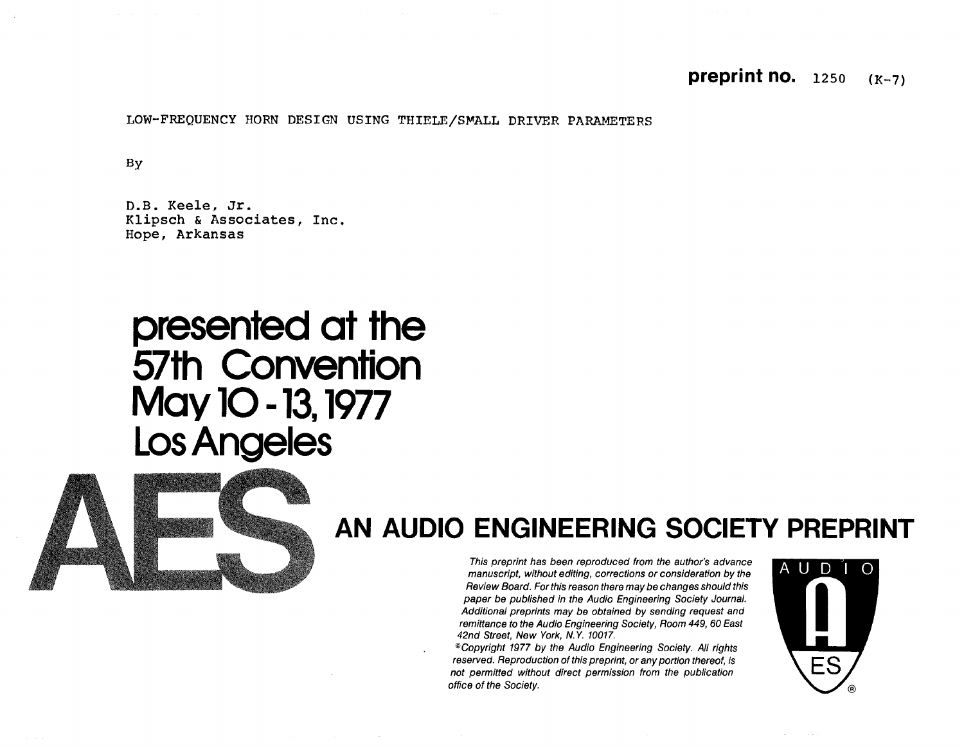### **preprint no.** 1250  $(K-7)$

LOW-FREQUENCY HORN DESIGN USING THIELE/SMALL DRIVER PARAMETERS

By

D.B. Keele, Jr. Klipsch & Associates, Inc. Hope, Arkansas

# presented at the<br>57th Convention May 10 - 13, 1977 Los Angeles



## AN AUDIO ENGINEERING SOCIETY PREPRINT

This preprint has been reproduced from the author's advance manuscript, without editing, corrections or consideration by the Review Board. For this reason there may be changes should this paper be published in the Audio Engineering Society Journal. Additional preprints may be obtained by sending request and remittance to the Audio Engineering Society, Room 449, 60 East 42nd Street, New York, N.Y. 10017.

<sup>®</sup>Copyright 1977 by the Audio Engineering Society. All rights reserved. Reproduction of this preprint, or any portion thereof, is not permitted without direct permission from the publication office of the Society.

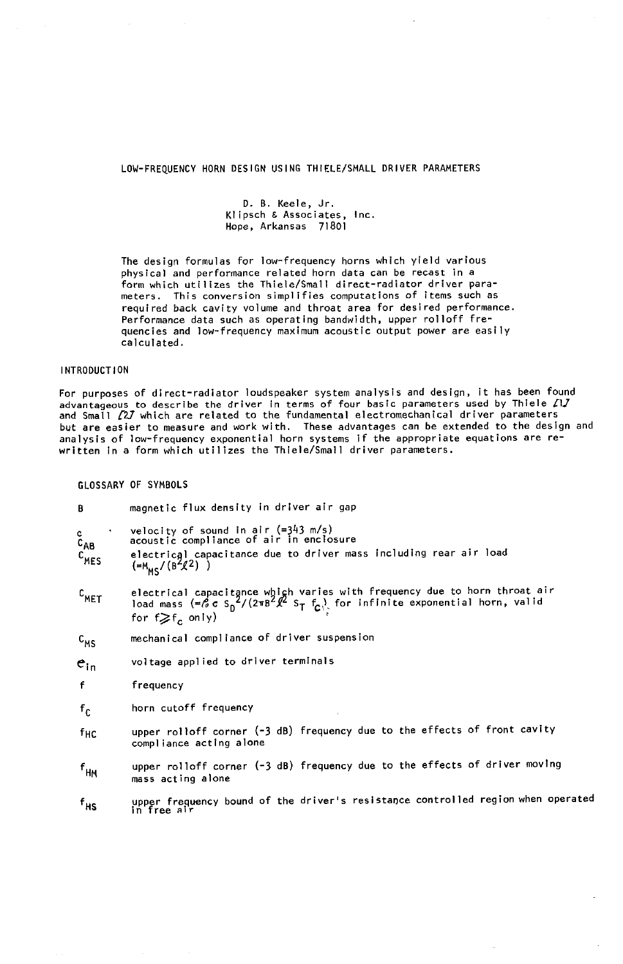#### LOW-FREQUENCY HORN DESIGN USING THIELE**/**SMALL DRIVER PARAMETERS

D. B. Keele, Jr. Klipsch & Associates, Inc. Hope, Arkansas 71801

The design formulas for low-frequency horns which yield various physical and performance related horn data can be recast in a form which utilizes the Thiele/Small direct-radiator driver parameters. This conversion simplifies computations of items such as required b**a**ck cavity volume and throat area for desired performance. Performance data such as operating bandwidth, upper rolloff frequencies and low-frequency maximum acoustic output power are easily calculated.

#### INTRODUCTION

For purposes of direct-radiator loudspeaker system analysis and design, it has been found advantageous to describe the driver in terms of four basic parameters used by finere fly<br>and Small 22J which are related to the fundamental electromechanical driver parameters but **a**re easier to measure and work with. These advantages can be extended to the deslgn and analysis of Iow-frequency exponential horn systems if the appropriate equations are re-written in a form which utilizes the Thiele**/**Small driver parameters.

GLOSSARY OF SYMBOLS

| B                                        | magnetic flux density in driver air gap                                                                                                                                                                                                                                   |  |  |
|------------------------------------------|---------------------------------------------------------------------------------------------------------------------------------------------------------------------------------------------------------------------------------------------------------------------------|--|--|
| $\frac{c}{c_{AB}}$<br>$c$ <sub>MES</sub> | velocity of sound in air $(=343 \text{ m/s})$<br>acoustic compliance of air in enclosure<br>electrical capacitance due to driver mass including rear air load<br>$(=M_{MS}/(B^{2}/2))$                                                                                    |  |  |
| $c$ <sub>MET</sub>                       | electrical capacitance whigh varies with frequency due to horn throat air<br>load mass (= $\frac{6}{9}$ c S <sub>D</sub> <sup>2</sup> /(2 $\pi$ B <sup>2</sup> $\ell$ <sup>2</sup> S <sub>T</sub> f <sub>C</sub> ) for infinite exponential horn, valid<br>for f⋧f, only) |  |  |
| $c_{MS}$                                 | mechanical compliance of driver suspension                                                                                                                                                                                                                                |  |  |
| $e_{in}$                                 | voltage applied to driver terminals                                                                                                                                                                                                                                       |  |  |
| f                                        | frequency                                                                                                                                                                                                                                                                 |  |  |
| $f_{\rm C}$                              | horn cutoff frequency                                                                                                                                                                                                                                                     |  |  |
| fhc                                      | upper rolloff corner (-3 dB) frequency due to the effects of front cavity<br>compliance acting alone                                                                                                                                                                      |  |  |
| $f_{\mathsf{HM}}$                        | upper rolloff corner (-3 dB) frequency due to the effects of driver moving<br>mass acting alone                                                                                                                                                                           |  |  |
| $f_{HS}$                                 | upper frequency bound of the driver's resistance controlled region when operated<br>in free air                                                                                                                                                                           |  |  |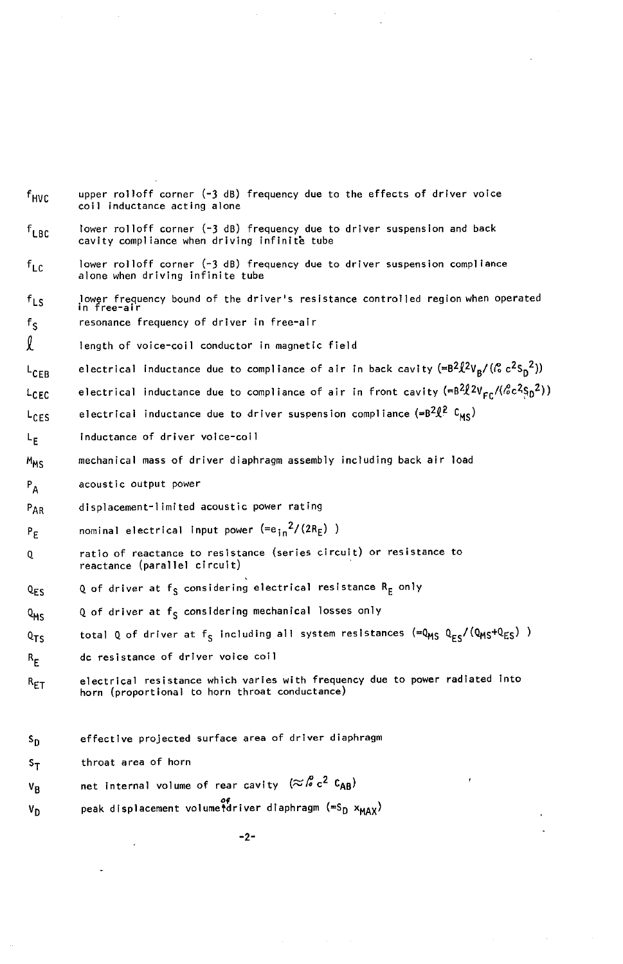$f_{HVC}$  upper rolloff corner (-3 dB) frequency due to the effects of driver voice coil indu**c**tance acting alone  $f_{LBF}$  lower rolloff corner (-3 dB) frequency due to driver suspension and back cavity compliance when driving infinite tube  $f_{LC}$  lower rolloff corner (-3 dB) frequency due to driver suspension compliance alone when driving infinite tube f<sub>LS</sub> lower frequency bound of the driver's resistance controlled region when operated in free-air f<sub>S</sub> resonance frequency of driver in free-air l length of voice-coil conductor in m**a**gnetic field L<sub>CEB</sub> electrical inductance due to compliance of air in back cavity (=B<sup>2</sup> $\ell^2V_B$ /( $\ell^2s_B^2$ )) L<sub>CFC</sub> electrical inductance due to compliance of air in front cavity ( $=B^2\ell^2V_{\text{Fr}}/(\ell^2c^2s_0^2)$ ) L<sub>CES</sub> electrical inductance due to driver suspension compliance (=B<sup>2</sup> $\ell^2$  C<sub>MS</sub>) L<sub>F</sub> inductance of driver voice-coil MMS mechanical mass of driver diaphragm **a**ssembly including b**a**ck air load PA **a**coustic output power P<sub>AR</sub> displacement-limited acoustic power rating  $P_F$  nominal electrical input power  $(=e_{in}^2/(2R_E))$ Q ratio of reactance to resistance (series circuit) or resist**a**nce to reactance (parallel circuit) Q<sub>ES</sub> Q of driver at f<sub>S</sub> considering electrical resistance R<sub>E</sub> only Q<sub>MS</sub> Q of driver at f<sub>S</sub> considering mechanical losses only Q<sub>TS</sub> total Q of driver at f<sub>S</sub> including all system resistances (=Q<sub>MS</sub> Q<sub>ES</sub>/(Q<sub>MS</sub>+Q<sub>ES</sub>) )  $R_E$  dc resistance of driver voice coil  $R_{ET}$  electrical resistance which varies with frequency due to power radiated into horn (proportion**a**l to horn throat conductance) S<sub>D</sub> effective projected surface area of driver diaphragm S<sub>T</sub> throat area of horn  $V_B$  net internal volume of rear cavity  $(\approx \sqrt{6} \text{ c}^2 \text{ C}_{AB})$  $V_D$  peak displacement volumetdriver diaphragm (=S<sub>D</sub>  $x_{MAX}$ )

-2-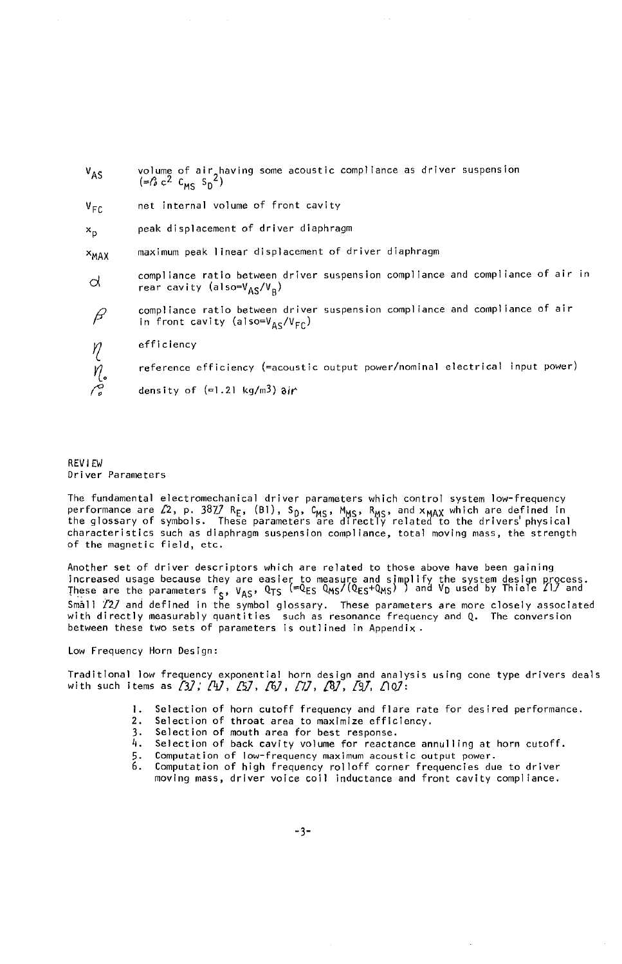| $V_{AS}$              | volume of air having some acoustic compliance as driver suspension<br>$(=\beta c^2 C_{\text{mc}} S_n^2)$                              |
|-----------------------|---------------------------------------------------------------------------------------------------------------------------------------|
| $V_{\text{FC}}$       | net internal volume of front cavity                                                                                                   |
| $x_{D}$               | peak displacement of driver diaphragm                                                                                                 |
| <sup>X</sup> MAX      | maximum peak linear displacement of driver diaphragm                                                                                  |
| d                     | compliance ratio between driver suspension compliance and compliance of air in<br>rear cavity (also=V <sub>AS</sub> /V <sub>B</sub> ) |
| β                     | compliance ratio between driver suspension compliance and compliance of air<br>in front cavity (also= $V_{AC}/V_{EC}$ )               |
|                       | efficiency                                                                                                                            |
| $\frac{\eta}{\sigma}$ | reference efficiency (=acoustic output power/nominal electrical input power)                                                          |
|                       | density of $(=1.21 \text{ kg/m3})$ air                                                                                                |

#### REVIEW Driver Paramet**e**rs

The fundamental electromechanical driver parameters which control system low-frequency performance are 22, p. 30*1*. Ref, (B1), Sp, CMS, MMS, MMS, and XMAX which are defined in characteristics such as diaphragm suspension compliance, total moving mass, the strength of the magnetic field, etc.

Another set of driver descriptors which are related to those above have been gaining increased usage because they are easier to measure and simplify the system design Rrocess.  $T_{\text{H}}$  are the parameters  $T_{\text{S}}$ , VAS,  $\sim$ 13  $\rightarrow$  D used and  $\sim$  D used by Thiele  $\sim$ Small Z**f**2Jand defined in the symbol glossary. These parameters **a**re more closely associated with directly measurably quantities such as resonance frequency and Q. The conversion between these two sets of parameters is outlined in Appendix.

Low Frequency Horn Design:

Traditional Iow frequency exponential horn design and analysis using cone type drivers deals with such items as (3);  $\sqrt{4}$ ,  $\sqrt{5}$ ,  $\sqrt{6}$ ,  $\sqrt{7}$ ,  $\sqrt{8}$ ,  $\sqrt{9}$ ,  $\sqrt{10}$ :

- I. Selection of horn cutoff frequency and flare rate for desired performance.
- 2. Selection of throat area to maximize effi**c**iency.
- Selection of mouth area for best response.
- 4. Selection of back cavity volume for reactance annulling at horn cutoff.
- 5. Computation of Iow-frequency maximum acoustic output power.
- 6. Computation of high frequency rolloff corner frequencies due to driver moving mass, driver voice coil inductance and front cavity compliance.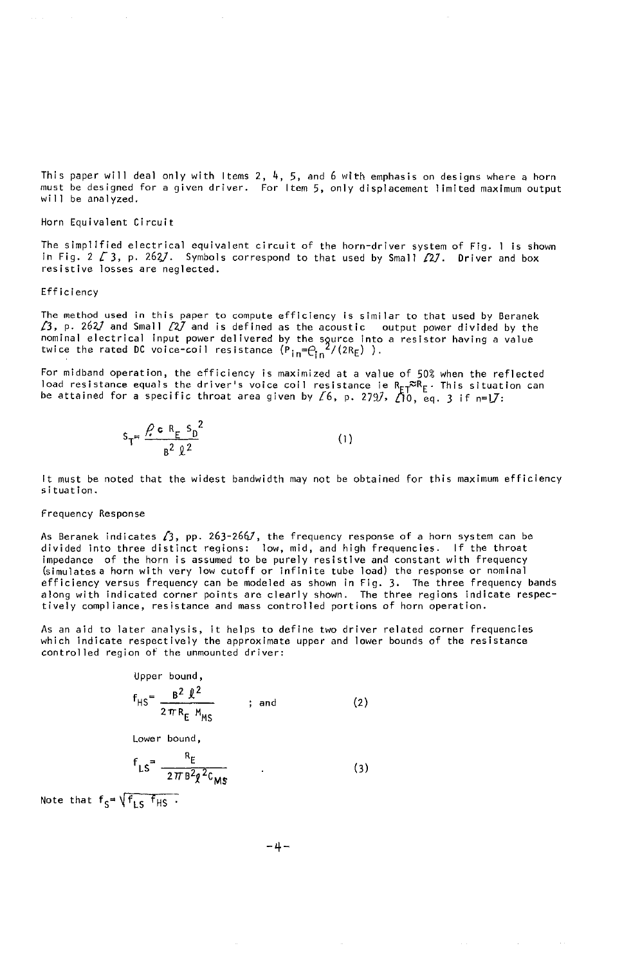This paper will deal only with Items 2,  $4$ , 5, and 6 with emphasis on designs where a horn must be designed for a given driver. For Item 5, only displacement limited maximum output will be analyzed.

#### Horn Equivalent Circuit

The simplified electrical equivalent circuit of the horn-driver system of Fig. 1 is shown in Fig. 2  $\ell$  3, p. 262/. Symbols correspond to that used by Small  $\ell$ 2/. Driver and box resistive losses are neglected.

#### Efficiency

The method used in this paper to compute efficiency is similar to that used by Beranek £3**,** p. 262.**]**and Small **[**2.**]**and is defined as the acoustic output power divided by the twice the rated DC voice-coil resistance  $(\overline{P}_{\text{in}}=\overline{P}_{\text{in}}^2/(2R_{\text{E}}))$ .

For midband operation, the efficiency is maximized at a value of 50% when the reflected<br>load resistance equals the driver's voice coil resistance is  $R_E \tilde{f}^R F$ . This situation can be attained for a specific throat area given by  $\zeta$ 6, p. 279.7,  $\zeta$ 10, eq. 3 if n=l.7:

$$
S_T = \frac{\rho c R_E S_0^2}{B^2 \Omega^2}
$$
 (1)

It must be noted that the widest bandwidth may not be obtained for this maximum efficiency situation.

#### Frequency Response

As Beranek indicates  $\chi_3$ , pp. 263-266/, the frequency response of a horn system can be divided into thre**e** distinct regions: low, mid, and high frequencies. If the throat impedance of the horn is assumed to be purely resistive and constant with frequenc<br>(simulates a horn with very low cutoff or infinite tube load) the response or nomina efficiency versus frequency can be mode]ed as shown in Fig. 3. The three frequency bands along with indicated corner points are clearly shown. The three regions indicate respectively compliance, resistance and mass controlled portions of horn operation.

As an aid to later analysis, it helps to define two driver related corner frequencies which indicate respectively the approximate upper and lower bounds of the resistance controlled region of the unmounted driver:

Upper bound,  
\n
$$
f_{HS} = \frac{B^2 \ell^2}{2 \pi R_E M_{MS}}
$$
\nand\n(2)

Lower bound,

$$
f_{LS} = \frac{R_E}{2\pi B^2 q^2 c_{MS}}
$$
 (3)

Note that  $f_S = \sqrt{f_{LS} - f_{HS}}$ .

-4-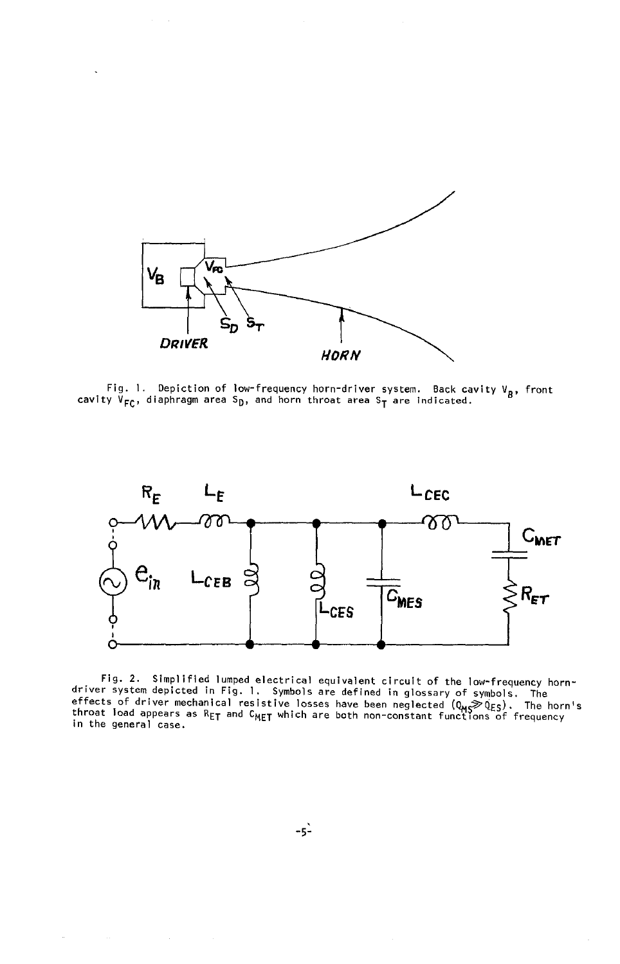

Fig. 1. Depiction of low-frequency horn-driver system. Back cavity  $V_B$ , front cavity  $V_{FC}$ , diaphragm area S<sub>D</sub>, and horn throat area S<sub>T</sub> are indicated.



Fig. 2. Simplified lumped electrical equivalent circuit of the low-frequency horn-<br>driver system depicted in Fig. 1. Symbols are defined in glossary of symbols. The<br>effects of driver mechanical resistive losses have been in the general case.

 $-5^2$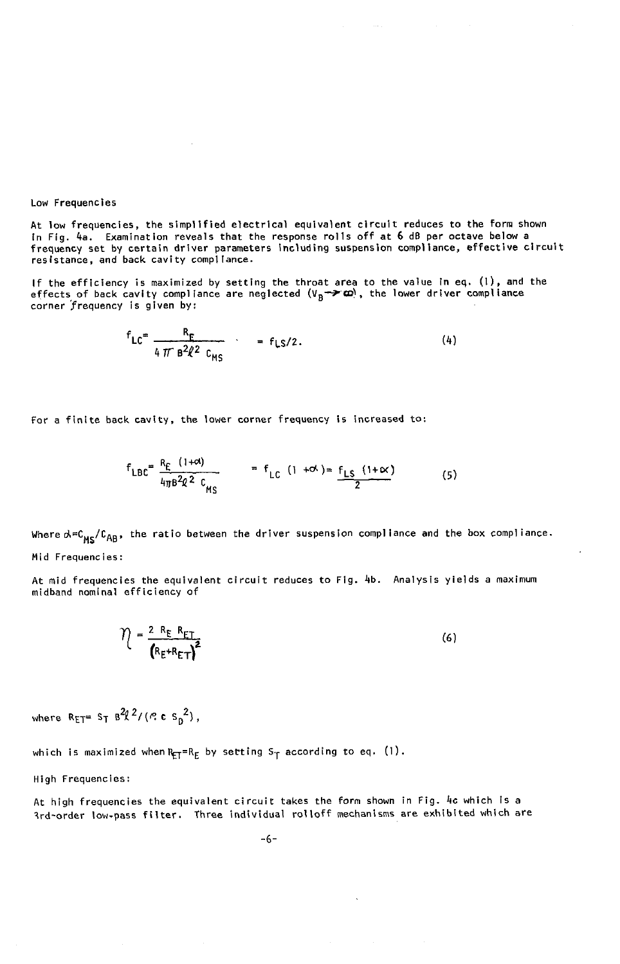Low Frequencies

At low frequencies, the simplified electrical equivalent circuit reduces to the form shown in Fig. 4a. Examination reveals **t**hat the response rolls off at 6 dB per octave below a frequency set by certain driver parameters including suspension compliance**,** effective circuit resist**a**nce, and back cavity compliance.

If the efficiency is maximized by setting the thro**a**t area to the value in eq. (Il, and the effects of back cavity compliance are neglected  $(V_B \rightarrow \infty)$ , the lower driver compliance corner frequency is given by:

$$
f_{LC} = \frac{R_E}{4 \pi B^2 \ell^2 C_{MS}} = f_{LS}/2.
$$
 (4)

For a finite back cavity, the lower corner frequency is increased to:

 $\sim$ 

$$
f_{\text{LBC}} = \frac{R_{\text{E}} (1+\alpha)}{4\pi\beta^2 \ell^2 c_{\text{MS}}} = f_{\text{LC}} (1+\alpha) = \frac{f_{\text{LS}} (1+\alpha)}{2} \tag{5}
$$

Where  $A = C_{MS}/C_{AB}$ , the ratio between the driver suspension compliance and the box compliance. Mid Frequencies:

At mid frequencies the equivalent circuit reduces to Fig. 4b. Analysis yields a maximum mldband nominal efficiency of

$$
\hat{\eta} = \frac{2 \ R_{\text{E}} R_{\text{ET}}}{\left( R_{\text{E}} + R_{\text{ET}} \right)^2}
$$
\n(6)

where  $R_{ET} = S_T B^2 l^2 / (R C S_0^2)$ ,

which is maximized when  $R_{\text{FT}}=R_E$  by setting S<sub>T</sub> according to eq. (1).

High Frequencies:

At high frequencies the equivalent circuit takes the form shown in Fig. 4c which is a \_rd-order low-pass filter. Three individual rolloff mechanisms are exhibited which are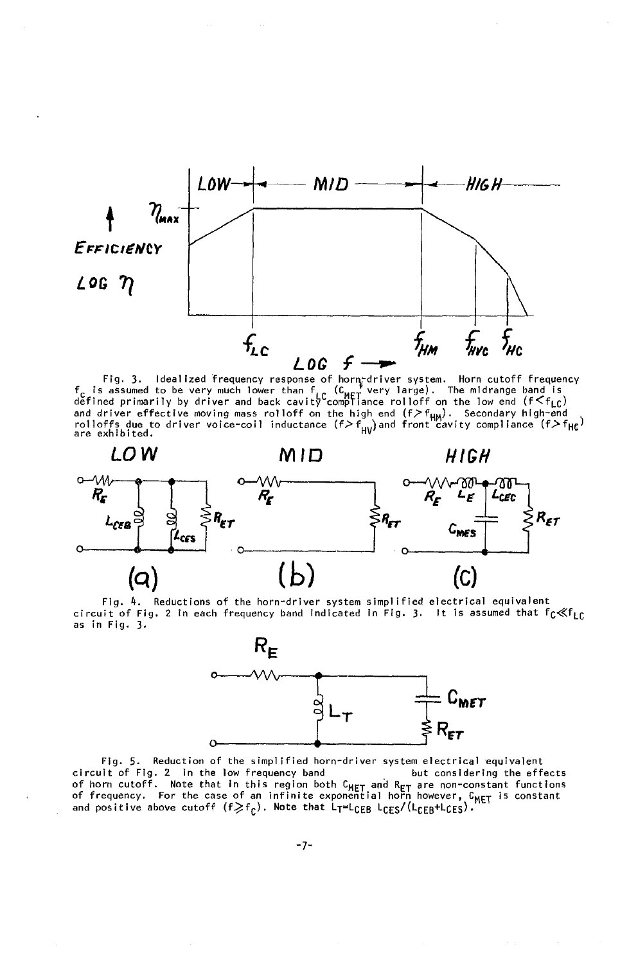

Fig. 3. Idealized frequency response of horn-driver system. Horn cutoff frequency<br>f is assumed to be very much lower than  $f_0$  ( $C_{\text{MET}}$  very large). The midrange band is<br>defined primarily by driver and back cavity com



Fig.  $4.$ Reductions of the horn-driver system simplified electrical equivalent circuit of Fig. 2 in each frequency band indicated in Fig. 3. It is assumed that  $f_C \ll f_{LC}$ as in Fig. 3.



Fig. 5. Reduction of the simplified horn-driver system electrical equivalent circuit of Fig. 2 in the low frequency band<br>of horn cutoff. Note that in this region both  $C_{MET}$  and  $R_{ET}$  are non-constant functions<br>of frequency. For the case of an infinite exponential horn however,  $C_{MET}$  is consta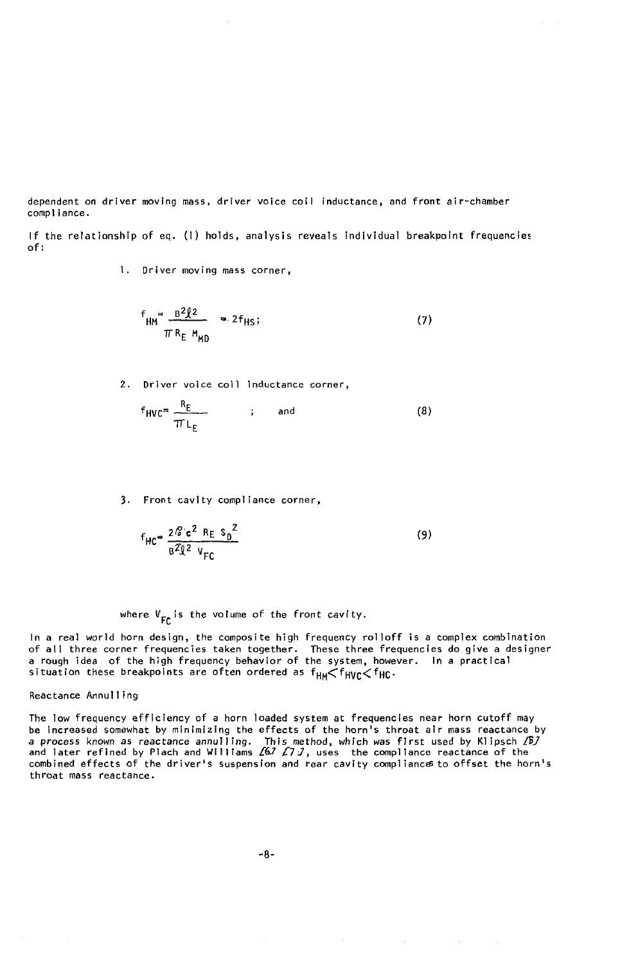dependent on driver moving mass, driver voice coil inductance, and front air-chamber compliance.

If the relationship of eq.  $(1)$  holds, analysis reveals individual breakpoint frequencies of:

l. Driver moving mass corner,

$$
f_{\text{HM}} = \frac{B^2 \ell^2}{\pi R_E M_{\text{MD}}} = 2f_{\text{HS}}; \tag{7}
$$

2. Driver voice coil inductance corner,

$$
f_{HVC} = \frac{R_E}{TL_E}
$$
 ; and (8)

3. Front cavity compliance corner,

$$
f_{HC} = \frac{2\mathcal{E} c^2 R_E S_D^2}{B^2 \mathcal{Q}^2 V_{FC}}
$$
 (9)

where  $V_{\text{F}c}$  is the volume of the front cavity.

In a real world horn design, the composite high frequency rolloff is a complex combination of all three corner frequencies taken together. These three frequencies do give a designer a rough idea of the high frequency behavior of the system, however. In **a** practical  $s$  reaction these breakpoints are order ordered as  $H$  $M \sim$   $H$ VC $\sim$   $H$ 

#### Reactance Annulling

The low frequency efficiency of a horn loaded system at frequencies near horn cutoff may<br>be increased somewhat by minimizing the effects of the horn's throat air mass reactance by be increased somewhat by minimizing the effects of the norn's throat air mass reactance by<br>a process known as reactance annulling. This method, which was first used by Klipsch /\$/<br>and later refined by Plach and Williams /6 combined effects of the driver's suspension and rear cavity compliances to offset the horn throat mass reactance.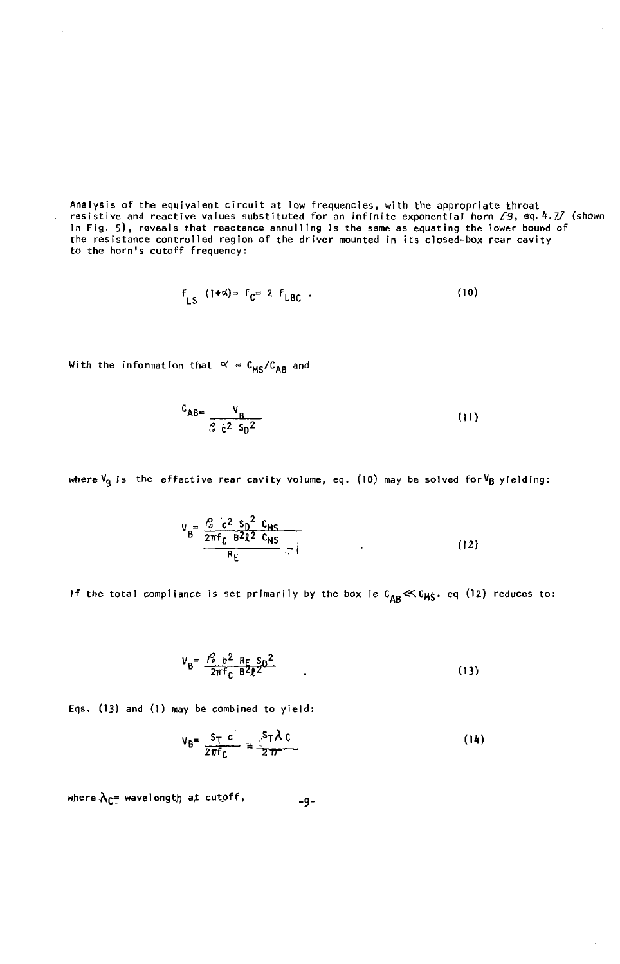Analysis of the equivalent circuit at low frequencies, with the appropriate throat<br>resistive and reactive values substituted for an infinite exponential horn  $\sqrt{9}$ , eq. 4.77 (shown in Fig. 5), reveals that reactance annulling is the same as equating the lower bound of<br>the resistance controlled region of the driver mounted in its closed-box rear cavity<br>to the horn's cutoff frequency:

$$
f_{LS} \quad (1+\alpha) = f_C = 2 \quad f_{LBC} \quad . \tag{10}
$$

With the information that  $\alpha' = C_{MS}/C_{AB}$  and

$$
{}^{C}AB = \frac{V_B}{C_6 \epsilon^2 S_D^2}
$$
 (11)

where  $V_B$  is the effective rear cavity volume, eq. (10) may be solved for  $V_B$  yielding:

$$
V_B = \frac{l_s^2 c^2 s_b^2 c_{MS}}{2\pi f c B^2 l^2 c_{MS}} - l
$$
 (12)

If the total compliance is set primarily by the box le  $c_{AB} \ll c_{MS}$ . eq (12) reduces to:

$$
V_{B} = \frac{\beta_0}{2\pi f_C} \frac{e^2}{B^2 R} \frac{R_F}{B^2 R^2}
$$
 (13)

Eqs. (13) and (1) may be combined to yield:

$$
V_B = \frac{S_T c}{2 \pi f_C} = \frac{S_T \lambda c}{2 \pi}
$$
 (14)

where  $\lambda_{\mathbb{C}^{\#}}$  wavelength at cutoff,  $-9-$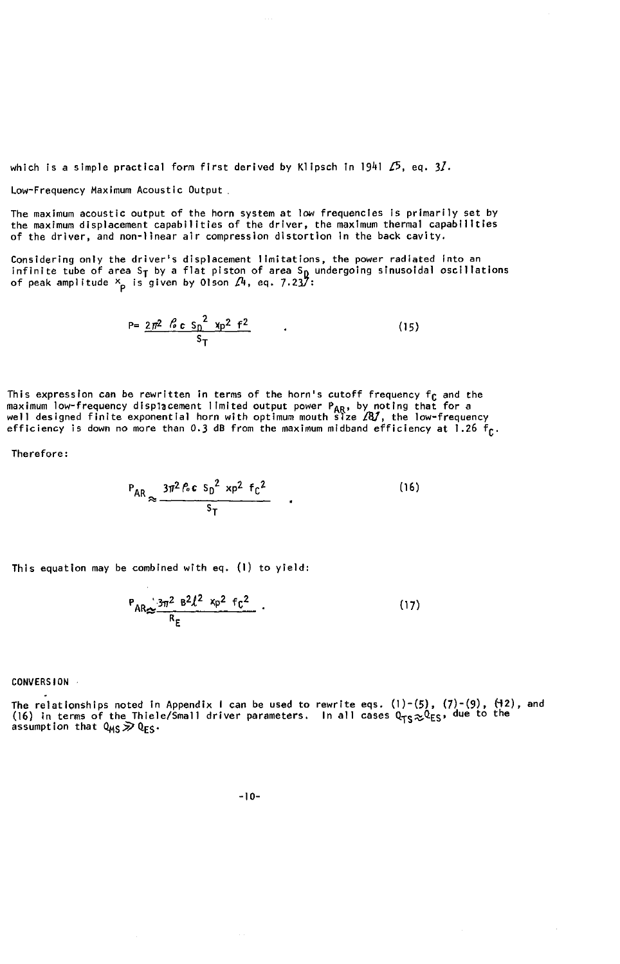which is a simple practical form first derived by Klipsch in 1941 **/**5, eq. 31.

Low-Frequency Maximum Acoustic Outpu**t**

The maximum acoustic output of the horn system at low frequencies is primarily set by the maximum displacement capabilities of the driver, the maximum therm**a**l c**a**pabilities of the driver, and non-line**a**r air compression distortion in the hack cavity.

Considering only the driver's displacement limitations**,** the power radiated into an infini**t**e tube of area ST by a flat piston of area So undergoing sinusoidal oscilla**t**ions of peak amplitude Xp is given by Olson \_**r**4, eq. 7.237:

$$
P = \frac{2\pi^2 \cdot \mathcal{L} \cdot c \cdot s_D^2 \cdot \gamma p^2 \cdot f^2}{s_T} \tag{15}
$$

nis expression can be rewritten in terms of the norm's cutor frequency in formation of the state of the state of the walk and the well designed for a well designed finite exponential horn with optimum mouth size  $\overline{AB}$ , efficiency is down no more than 0.3 dB from the maximum mldband efficiency at 1.26 fO'

Therefore:

$$
P_{AR} \approx \frac{3\pi^2 \beta c \, s_0^2 \, x_0^2 \, f_c^2}{s_{\rm T}} \qquad (16)
$$

This equation may be combined with eq. (I) to yield:

$$
{}^{P}AR_{\infty}\frac{3\pi^{2}B^{2}l^{2}x_{p}^{2}f_{C}^{2}}{R_{E}}.
$$
 (17)

CONVERSION ,

The rela**t**ionships noted in Appendix I can be used **t**o rewri**t**e eqs, (1)-(5), (7)-(9), \_2)**,** and (16) in terms of the Infere/Small driver parameters. In air cases  $Q_{\text{TS}}$ ,  $\sim$   $Q_{\text{ES}}$ , and the top of  $Q_{\text{NS}}$ ,  $Q_{\text{ES}}$ , and the top of  $Q_{\text{NS}}$ ,  $Q_{\text{ES}}$ , and the top of  $Q_{\text{NS}}$ ,  $Q_{\text{ES}}$ , and the top of  $Q$ 

-I0-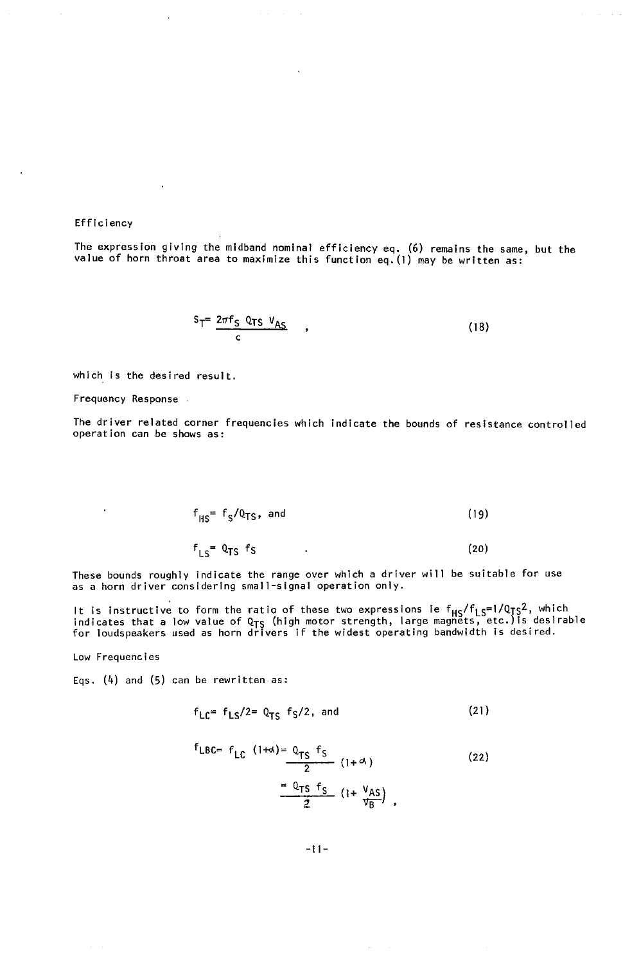Efficiency

The expression giving the mldband nominal efficiency eq. (6) remains the same, but the value of horn throat area to maximize this function eq.(1) may be written as:

$$
S_T = \frac{2\pi f_S \, Q_{TS} \, V_{AS}}{c} \tag{18}
$$

which is the desired result.

Frequency Response .

The driver related corner freque**n**cies which indicate the bounds of resistance controlled operation can be shows as:

$$
f_{HS} = f_S / Q_{TS}, \text{ and} \tag{19}
$$

 $f_{LS} = Q_{TS} f_S$  (20)

These bounds roughly indicate the range over which a driver will be suitable for use as a horn driver considering small-signal operation only.

It is instructive to form the ratio of these two expressions le r<sub>HS</sub>/ris<sup>eri/</sup>tys-<br>indicates that a low value of Q<sub>TS</sub> (high motor strength, large magnets, etc.)is desirable<br>for loudspeakers used as horn drivers if the wi

Low Frequencies

k,

Eqs. (4) and (5) can be rewritten as:

$$
f_{\text{LC}} = f_{\text{LS}}/2 = Q_{\text{TS}} \quad f_{\text{S}}/2, \text{ and} \tag{21}
$$

$$
r_{\text{LBC}} = f_{\text{LC}} \frac{(1+\alpha) = Q_{\text{TS}} f_{\text{S}}}{2} (1+\alpha) \tag{22}
$$
\n
$$
= \frac{Q_{\text{TS}} f_{\text{S}}}{2} (1+\frac{V_{\text{AS}}}{V_{\text{B}}}) \tag{22}
$$

-11-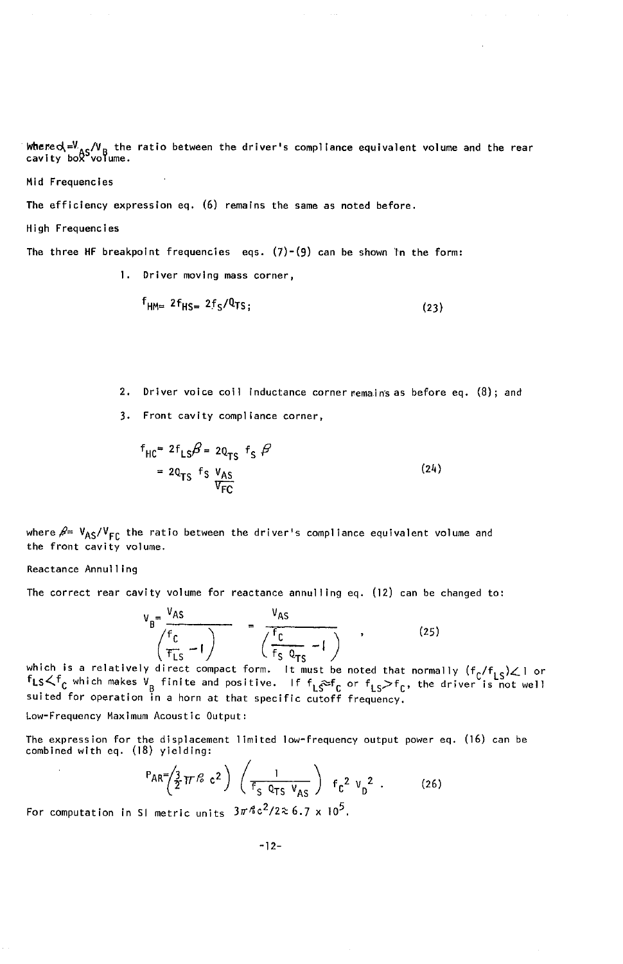where  $x = x_0 / v_B$  the ratio between the driver's compliance equivalent volume and the rear cavity box<sup>9</sup>volume.

Mid Frequencies

The efficiency expression eq.  $(6)$  remains the same as noted before.

High Frequencies

The three HF breakpoint frequencies eqs.  $(7)-(9)$  can be shown in the form:

1. Driver moving mass corner,

$$
f_{\text{H}M=2}f_{\text{H}S=2}f_{\text{S}}/Q_{\text{TS}};
$$
 (23)

- 2. Driver voice coil inductance corner remains as before eq. (8); and
- 3. Front cavity compliance corner,

$$
f_{HC} = 2f_{LS}\beta = 20_{TS} f_S \beta
$$
  
= 20<sub>TS</sub> f\_S V<sub>AS</sub>  

$$
\frac{V_{AS}}{V_{FC}}
$$
 (24)

where  $\beta = V_{AS}/V_{FC}$  the ratio between the driver's compliance equivalent volume and the front cavity volume.

Reactance Annulling

The correct rear cavity volume for reactance annulling eq. (12) can be changed to:

$$
V_B = \frac{V_{AS}}{\left(\frac{f_C}{f_{LS}} - 1\right)} = \frac{V_{AS}}{\left(\frac{f_C}{f_S \ 0_{TS}} - 1\right)} \tag{25}
$$

which is a relatively direct compact form. It must be noted that normally  $(f_c/f_{LS}) \angle 1$  or  $f_{LS} \angle f_c$  which makes  $v_g$  finite and positive. If  $f_{LS} \geq f_c$  or  $f_{LS} > f_c$ , the driver is not well suited for operation in a horn at that specific cutoff frequency.

Low-Frequency Maximum Acoustic Output:

The expression for the displacement limited low-frequency output power eq. (16) can be combined with eq. (18) yielding:

$$
P_{AR} = \left(\frac{3}{2}\pi r^2 c^2\right) \left(\frac{1}{f_S \frac{0}{2} \pi S V_{AS}}\right) f_C^2 V_D^2.
$$
 (26)

For computation in SI metric units  $3\pi\sqrt{6}c^2/2 \approx 6.7 \times 10^5$ .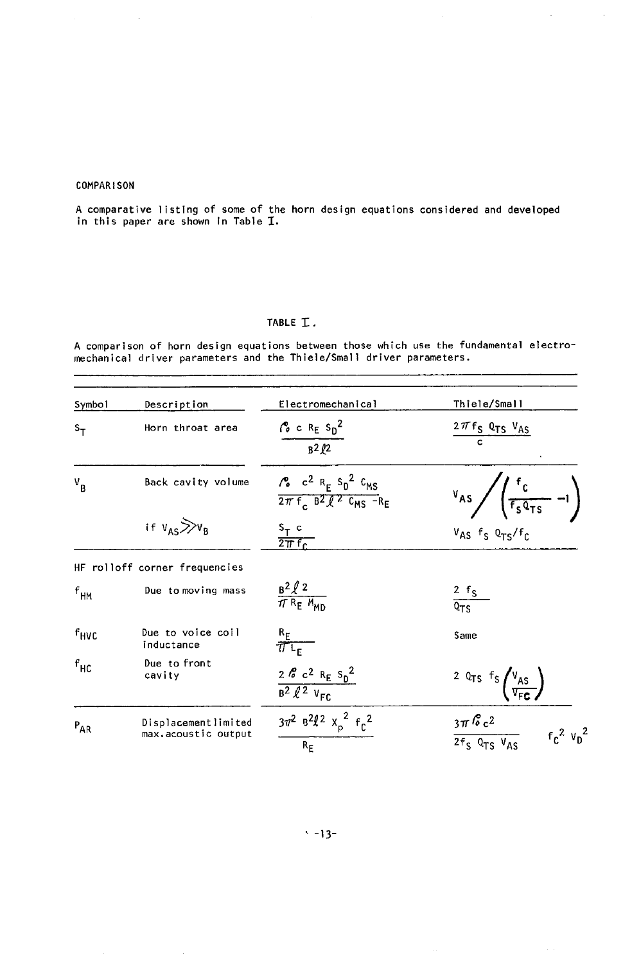#### **COMPARISON**

A comparative listing of some of the horn design equations considered and developed in this paper are shown in Table  $I$ .

#### TABLE I.

A comparison of horn design equations between those which use the fundamental electro-<br>mechanical driver parameters and the Thiele/Small driver parameters.

| Symbol            | Description                                | Electromechanical                                                                                                                                 | Thiele/Small                                                                   |
|-------------------|--------------------------------------------|---------------------------------------------------------------------------------------------------------------------------------------------------|--------------------------------------------------------------------------------|
| $s_{\tau}$        | Horn throat area                           | $\frac{r_o}{\sqrt{r}}$ c R <sub>E</sub> S <sub>D</sub> <sup>2</sup><br>$\sqrt{32/2}$                                                              | $\frac{2\pi f_S Q_{TS} V_{AS}}{c}$                                             |
| $V_B$             | Back cavity volume                         | $\frac{1}{6}$ c <sup>2</sup> R <sub>E</sub> S <sub>D</sub> <sup>2</sup> C <sub>MS</sub><br>$2\pi f$ , $B^2$ $R^2$ C <sub>MS</sub> -R <sub>E</sub> | $V_{AS}$ $\sqrt{\frac{f_c}{f_S Q_{TS}}}$ -1)                                   |
|                   | if $v_{AS} \gg v_B$                        | $\frac{s_T}{2\pi f_C}$                                                                                                                            | $V_{AS}$ f <sub>S</sub> $Q_{TS}/f_C$                                           |
|                   | HF rolloff corner frequencies              |                                                                                                                                                   |                                                                                |
| $f_{\mathsf{HM}}$ | Due to moving mass                         | $rac{B^2 l^2}{\pi R_E M_{MD}}$                                                                                                                    | $rac{2}{2}$ f <sub>S</sub>                                                     |
| f <sub>HVC</sub>  | Due to voice coil<br>inductance            | $\frac{R_E}{\pi L_E}$                                                                                                                             | Same                                                                           |
| $f_{HC}$          | Due to front<br>cavity                     | $\frac{2 \cancel{6} \cdot c^2 \text{ R}_E s_0^2}{B^2 \cancel{6}^2 \text{ V}_{F C}}$                                                               | <sup>2</sup> Q <sub>TS</sub> $f_S \left( \frac{V_{AS}}{V_{FE}} \right)$        |
| $P_{AR}$          | Displacementlimited<br>max.acoustic output | $3\pi^2$ $8^2$ $\ell^2$ $x_p^2$ $f_c^2$<br>$R_F$                                                                                                  | $\frac{3\pi \, \mathcal{C} c^2}{2 f_S \, Q_{TS} \, V_{AS}}$<br>$f_c^2$ $v_p^2$ |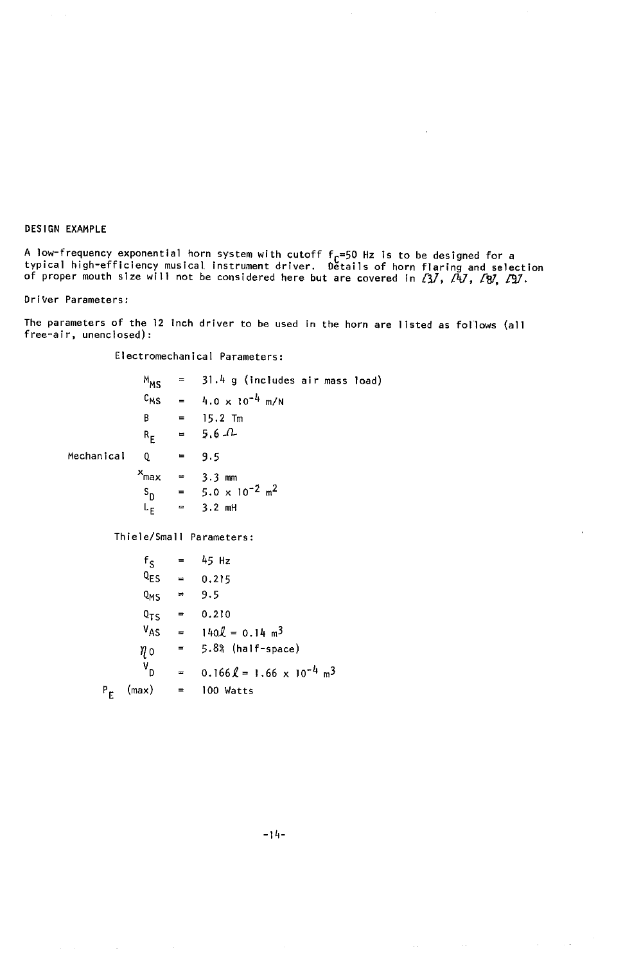DESIGN EXAMPLE

A low-frequency exponential horn system with cutoff f<sub>c</sub>=50 Hz is to be designed for a<br>typical high-efficiency musical instrument driver. Details of horn flaring and select of proper mouth size will not be considered here but are covered in  $\{3\}$ ,  $\{4\}$ ,  $\{8\}$ ,  $\ell$ 

DriVer Parameters:

The parameters of the )2 Inch driver to be used in the horn are listed as follows (all free-air**,** unenclosed):

Electromechanical Parameters:

|            | M <sub>MS</sub>  | $\equiv$ | 31.4 g (includes air mass load)                  |
|------------|------------------|----------|--------------------------------------------------|
|            |                  |          | $C_{MS}$ = 4.0 x 10 <sup>-4</sup> m/N            |
|            | B.               |          | $=$ 15.2 Tm                                      |
|            |                  |          | $R_E = 5.6 \tImes$                               |
| Mechanical | Q                |          | $= 9.5$                                          |
|            |                  |          | $x_{\text{max}} = 3.3 \text{ mm}$                |
|            |                  |          | $S_D = 5.0 \times 10^{-2} m^2$                   |
|            |                  |          | $L_E$ = 3.2 mH                                   |
|            |                  |          | Thiele/Small Parameters:                         |
|            |                  |          | $f_c = 45 Hz$                                    |
|            |                  |          | $Q_{ES} = 0.215$                                 |
|            | $Q_{MS} = 9.5$   |          |                                                  |
|            |                  |          | $Q_{TS} = 0.210$                                 |
|            |                  |          | $V_{AS} = 140 \ell = 0.14 \text{ m}^3$           |
|            | ηο               |          | $= 5.8%$ (half-space)                            |
|            | $V_{\mathsf{D}}$ |          | $= 0.166 \ell = 1.66 \times 10^{-4} \text{ m}^3$ |
| $P_E$      | (max)            |          | $=$ 100 Watts                                    |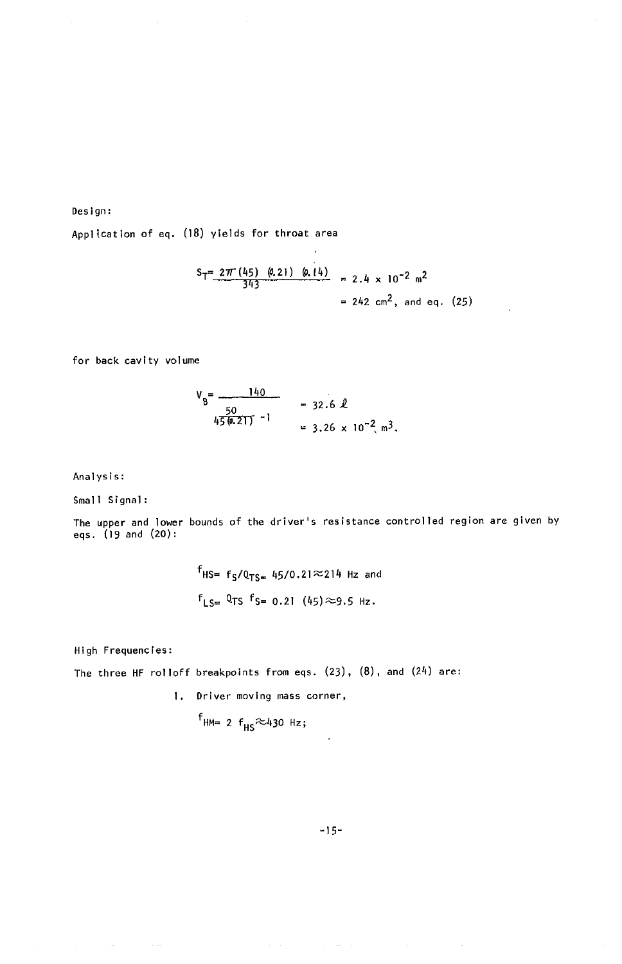Design:

Application of eq. (18) yields for throat area

$$
S_T = \frac{2\pi (45) (0.21) (0.14)}{343} = 2.4 \times 10^{-2} \text{ m}^2
$$
  
= 242 cm<sup>2</sup>, and eq. (25)

 $\overline{\phantom{a}}$ 

for back c**a**vity volume

$$
V_B = \frac{140}{50} = 32.6 \text{ L}
$$
  
 
$$
V_B = \frac{50}{45(6.21)} - 1 = 3.26 \times 10^{-2} \text{ m}^3.
$$

An**a**lysis:

Small Signal:

The upper and lower bounds of the driver's resistance controlled region are given by eqs. (19 and (20):

> $f_{HS} = f_S/Q_{TS} = 45/0.21 \approx 214$  Hz and  $f_{LS} = 0$ TS  $f_{S} = 0.21$  (45)  $\approx$ 9.5 Hz.

High Frequencies:

The three HF rolloff breakpoints from eqs. (23), (8), and (24) are:

1. Driver moving mass corner,

$$
r_{HM=2} f_{HS} \approx 430 Hz;
$$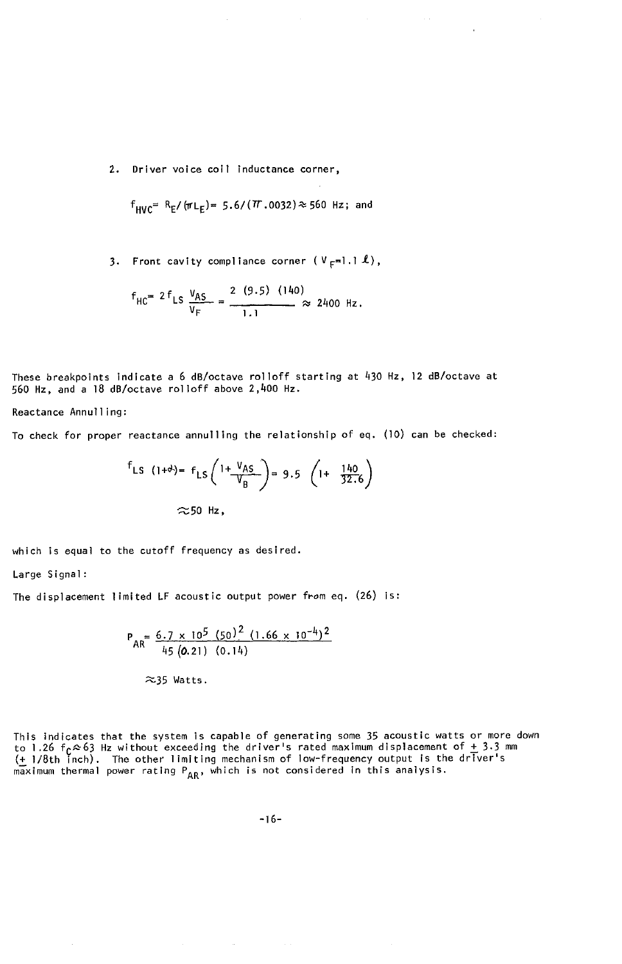2. Driver voice coil inductance corner,

$$
f_{\text{HVC}} = R_E / (\pi L_E) = 5.6 / (T.0032) \approx 560 \text{ Hz}
$$
; and

3. Front cavity compliance corner  $(V_F=1.1 \text{ L})$ ,

$$
f_{HC} = 2 f_{LS} \frac{V_{AS}}{V_F} = \frac{2 (9.5) (140)}{1.1} \approx 2400 Hz.
$$

These breakpoints indicate a 6 dB/octave rolloff starting at 430 Hz, 12 dB/octave at 560 Hz, and a 18 dB/octave rolloff above 2,400 Hz.

Reactance Annulling:

To check for proper reactance annulling the relationship of eq. (10) can be checked:

$$
f_{LS} (1+\theta) = f_{LS} \left(1+\frac{V_{AS}}{V_B}\right) = 9.5 \left(1+\frac{140}{32.6}\right)
$$
  

$$
\approx 50 \text{ Hz},
$$

which is equal to the cutoff frequency as desired.

Large Signal:

The displacement limited LF acoustic output power from eq. (26) is:

$$
P_{AR} = \frac{6.7 \times 10^5 (50)^2 (1.66 \times 10^{-4})^2}{45 (0.21) (0.14)}
$$
  
~35 Watts.

This indicates that the system is capable of generating some 35 acoustic watts or more down<br>to 1.26  $f_C \approx 63$  Hz without exceeding the driver's rated maximum displacement of  $\pm$  3.3 mm<br>( $\pm$  1/8th inch). The other limiti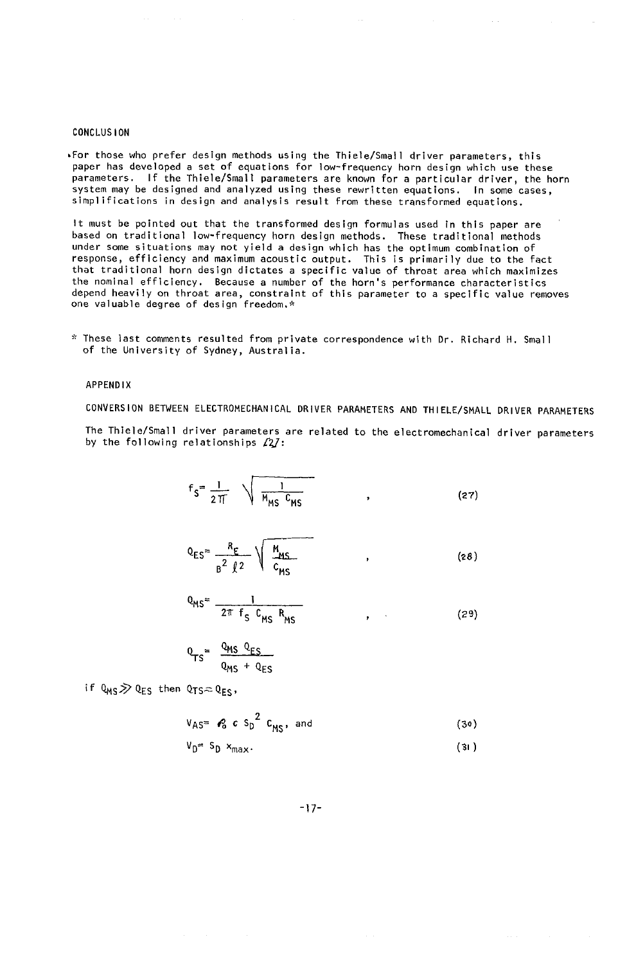#### CONCLUSION

,For those who prefer design methods using the Thlele**/**Small driver parameters, this paper has developed a set of equations for low-frequency horn design which use these parameters. If the Thiele**/**Small parameters are known for a particular driver, the horn system may be designed and analyzed using these rewritten equations. In some cases, simplifications in design and analysis result from these transformed equations.

It must be pointed out that the transformed design formulas used in this paper are based on traditional low-frequency horn design methods. These traditional methods under some situations may not yield a design which has the optimum combination of response, efficiency and maximum acoustic output. This is primarily due to the fact that traditional horn design dictates a specific value of throat area which maximizes the nominal efficiency. Because a number of the horn's performance characteristics depend heavily on throat area, constraint of this parameter to a specific value removes one valuable degree of design freedom,\*

\* These tast comments resulted from private correspondence with Dr. Richard H. Small of the University of Sydney, Australla.

#### APPENDIX

CONVERSION BETWEEN ELECTROMECHANICAL DRIVER PARAMETERS AND THIELE**/**SMALL DRIVER PARAMETERS

The Thiele**/**Small driver parameters **a**re rel**a**ted to the electromechanical driver parameters by the following relationships  $f2/$ :

$$
f_S = \frac{1}{2\pi} \sqrt{\frac{1}{M_{\text{MS}} C_{\text{MS}}}}
$$
 (27)

$$
Q_{ES} = \frac{R_E}{B^2 \ell^2} \sqrt{\frac{M_{MS}}{C_{MS}}} \tag{28}
$$

$$
Q_{MS} = \frac{1}{2\pi f_S C_{MS} R_{MS}}
$$
 (29)

$$
Q_{TS} = \frac{Q_{MS} Q_{ES}}{Q_{MS} + Q_{ES}}
$$

if  $Q_{MS} \gg Q_{ES}$  then  $Q_{TS} \approx Q_{ES}$ ,

$$
V_{AS} = \mathcal{L}_{S} c S_{D}^{2} C_{MS}, \text{ and}
$$
 (30)  

$$
V_{D} = S_{D} x_{max}.
$$

-17-